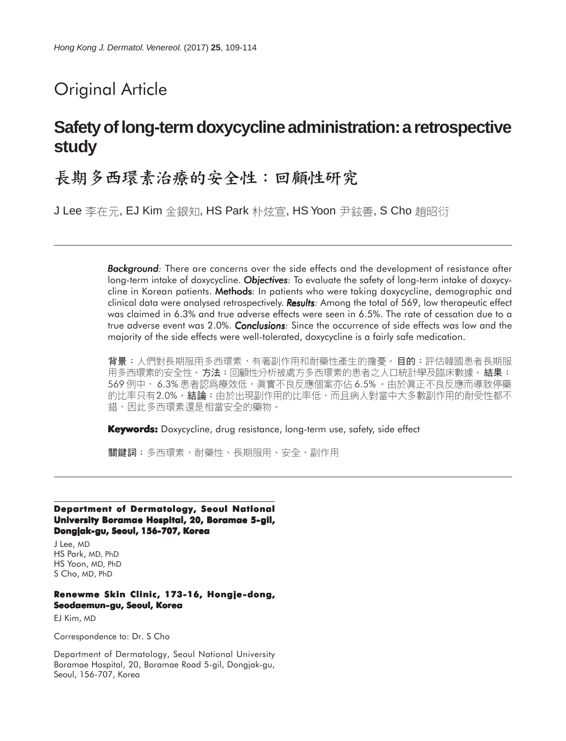# Original Article

## **Safety of long-term doxycycline administration: a retrospective study**

## 長期多西環素治療的安全性:回顧性研究

J Lee 李在元, EJ Kim 金銀知, HS Park 朴炫宣, HS Yoon 尹鉉善, S Cho 趙昭衍

*Background:* There are concerns over the side effects and the development of resistance after long-term intake of doxycycline. *Objectives: Objectives* To evaluate the safety of long-term intake of doxycycline in Korean patients. Methods: In patients who were taking doxycycline, demographic and clinical data were analysed retrospectively. **Results**: Among the total of 569, low therapeutic effect was claimed in 6.3% and true adverse effects were seen in 6.5%. The rate of cessation due to a true adverse event was 2.0%. *Conclusions: Conclusions* Since the occurrence of side effects was low and the majority of the side effects were well-tolerated, doxycycline is a fairly safe medication.

**背景:**人們對長期服用多西環素,有著副作用和耐藥性產生的擔憂。**目的:**評估韓國患者長期服 用多西環素的安全性。**方法:**回顧性分析被處方多西環素的患者之人口統計學及臨床數據。**結果:** 569 例中, 6.3% 患者認爲療效低,眞實不良反應個案亦佔 6.5% 。由於眞正不良反應而導致停藥 的比率只有2.0%。結論:由於出現副作用的比率低,而且病人對當中大多數副作用的耐受性都不 錯,因此多西環素還是相當安全的藥物。

**Keywords:** Doxycycline, drug resistance, long-term use, safety, side effect

關鍵詞:多西環素、耐藥性、長期服用、安全、副作用

**Department of Dermatology, Seoul National University Boramae Hospital, 20, Boramae 5-gil, Dongjak-gu, Seoul, 156-707, Korea**

J Lee, MD HS Park, MD, PhD HS Yoon, MD, PhD S Cho, MD, PhD

#### **Renewme Skin Clinic, 173-16, Hongje-dong, Seodaemun-gu, Seoul, Korea**

EJ Kim, MD

Correspondence to: Dr. S Cho

Department of Dermatology, Seoul National University Boramae Hospital, 20, Boramae Road 5-gil, Dongjak-gu, Seoul, 156-707, Korea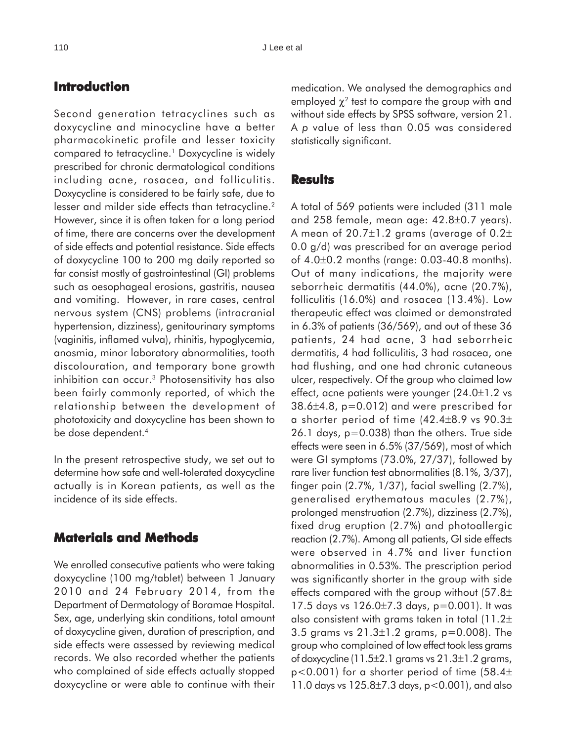## **Introduction**

Second generation tetracyclines such as doxycycline and minocycline have a better pharmacokinetic profile and lesser toxicity compared to tetracycline.<sup>1</sup> Doxycycline is widely prescribed for chronic dermatological conditions including acne, rosacea, and folliculitis. Doxycycline is considered to be fairly safe, due to lesser and milder side effects than tetracycline.<sup>2</sup> However, since it is often taken for a long period of time, there are concerns over the development of side effects and potential resistance. Side effects of doxycycline 100 to 200 mg daily reported so far consist mostly of gastrointestinal (GI) problems such as oesophageal erosions, gastritis, nausea and vomiting. However, in rare cases, central nervous system (CNS) problems (intracranial hypertension, dizziness), genitourinary symptoms (vaginitis, inflamed vulva), rhinitis, hypoglycemia, anosmia, minor laboratory abnormalities, tooth discolouration, and temporary bone growth inhibition can occur.3 Photosensitivity has also been fairly commonly reported, of which the relationship between the development of phototoxicity and doxycycline has been shown to be dose dependent.4

In the present retrospective study, we set out to determine how safe and well-tolerated doxycycline actually is in Korean patients, as well as the incidence of its side effects.

### **Materials and Methods**

We enrolled consecutive patients who were taking doxycycline (100 mg/tablet) between 1 January 2010 and 24 February 2014, from the Department of Dermatology of Boramae Hospital. Sex, age, underlying skin conditions, total amount of doxycycline given, duration of prescription, and side effects were assessed by reviewing medical records. We also recorded whether the patients who complained of side effects actually stopped doxycycline or were able to continue with their medication. We analysed the demographics and employed  $\chi^2$  test to compare the group with and without side effects by SPSS software, version 21. A *p* value of less than 0.05 was considered statistically significant.

#### **Results**

A total of 569 patients were included (311 male and 258 female, mean age: 42.8±0.7 years). A mean of 20.7±1.2 grams (average of 0.2± 0.0 g/d) was prescribed for an average period of 4.0±0.2 months (range: 0.03-40.8 months). Out of many indications, the majority were seborrheic dermatitis (44.0%), acne (20.7%), folliculitis (16.0%) and rosacea (13.4%). Low therapeutic effect was claimed or demonstrated in 6.3% of patients (36/569), and out of these 36 patients, 24 had acne, 3 had seborrheic dermatitis, 4 had folliculitis, 3 had rosacea, one had flushing, and one had chronic cutaneous ulcer, respectively. Of the group who claimed low effect, acne patients were younger (24.0±1.2 vs 38.6±4.8, p=0.012) and were prescribed for a shorter period of time (42.4±8.9 vs 90.3± 26.1 days, p=0.038) than the others. True side effects were seen in 6.5% (37/569), most of which were GI symptoms (73.0%, 27/37), followed by rare liver function test abnormalities (8.1%, 3/37), finger pain (2.7%, 1/37), facial swelling (2.7%), generalised erythematous macules (2.7%), prolonged menstruation (2.7%), dizziness (2.7%), fixed drug eruption (2.7%) and photoallergic reaction (2.7%). Among all patients, GI side effects were observed in 4.7% and liver function abnormalities in 0.53%. The prescription period was significantly shorter in the group with side effects compared with the group without (57.8± 17.5 days vs 126.0±7.3 days, p=0.001). It was also consistent with grams taken in total (11.2± 3.5 grams vs  $21.3 \pm 1.2$  grams,  $p=0.008$ ). The group who complained of low effect took less grams of doxycycline  $(11.5\pm 2.1)$  grams vs  $21.3\pm 1.2$  grams, p<0.001) for a shorter period of time (58.4± 11.0 days vs 125.8±7.3 days, p<0.001), and also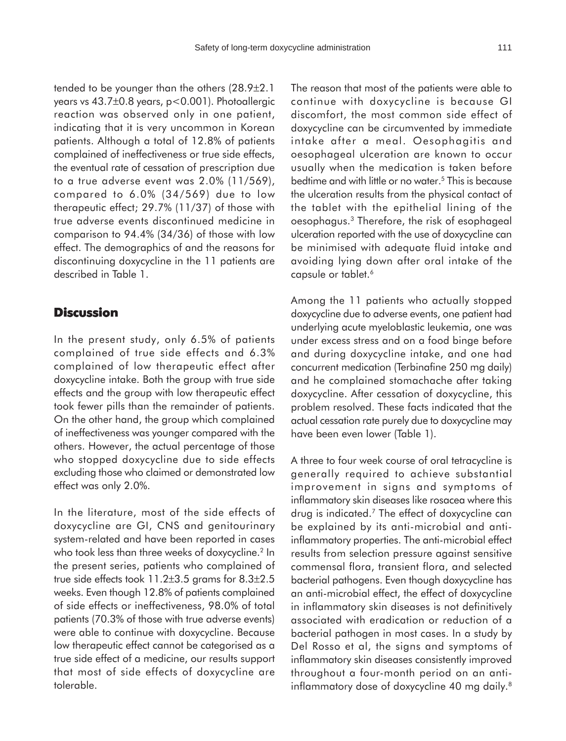tended to be younger than the others (28.9±2.1 years vs 43.7±0.8 years, p<0.001). Photoallergic reaction was observed only in one patient, indicating that it is very uncommon in Korean patients. Although a total of 12.8% of patients complained of ineffectiveness or true side effects, the eventual rate of cessation of prescription due to a true adverse event was 2.0% (11/569), compared to 6.0% (34/569) due to low therapeutic effect; 29.7% (11/37) of those with true adverse events discontinued medicine in comparison to 94.4% (34/36) of those with low effect. The demographics of and the reasons for discontinuing doxycycline in the 11 patients are described in Table 1.

### **Discussion**

In the present study, only 6.5% of patients complained of true side effects and 6.3% complained of low therapeutic effect after doxycycline intake. Both the group with true side effects and the group with low therapeutic effect took fewer pills than the remainder of patients. On the other hand, the group which complained of ineffectiveness was younger compared with the others. However, the actual percentage of those who stopped doxycycline due to side effects excluding those who claimed or demonstrated low effect was only 2.0%.

In the literature, most of the side effects of doxycycline are GI, CNS and genitourinary system-related and have been reported in cases who took less than three weeks of doxycycline.<sup>2</sup> In the present series, patients who complained of true side effects took 11.2±3.5 grams for 8.3±2.5 weeks. Even though 12.8% of patients complained of side effects or ineffectiveness, 98.0% of total patients (70.3% of those with true adverse events) were able to continue with doxycycline. Because low therapeutic effect cannot be categorised as a true side effect of a medicine, our results support that most of side effects of doxycycline are tolerable.

The reason that most of the patients were able to continue with doxycycline is because GI discomfort, the most common side effect of doxycycline can be circumvented by immediate intake after a meal. Oesophagitis and oesophageal ulceration are known to occur usually when the medication is taken before bedtime and with little or no water.5 This is because the ulceration results from the physical contact of the tablet with the epithelial lining of the oesophagus.3 Therefore, the risk of esophageal ulceration reported with the use of doxycycline can be minimised with adequate fluid intake and avoiding lying down after oral intake of the capsule or tablet.<sup>6</sup>

Among the 11 patients who actually stopped doxycycline due to adverse events, one patient had underlying acute myeloblastic leukemia, one was under excess stress and on a food binge before and during doxycycline intake, and one had concurrent medication (Terbinafine 250 mg daily) and he complained stomachache after taking doxycycline. After cessation of doxycycline, this problem resolved. These facts indicated that the actual cessation rate purely due to doxycycline may have been even lower (Table 1).

A three to four week course of oral tetracycline is generally required to achieve substantial improvement in signs and symptoms of inflammatory skin diseases like rosacea where this drug is indicated.7 The effect of doxycycline can be explained by its anti-microbial and antiinflammatory properties. The anti-microbial effect results from selection pressure against sensitive commensal flora, transient flora, and selected bacterial pathogens. Even though doxycycline has an anti-microbial effect, the effect of doxycycline in inflammatory skin diseases is not definitively associated with eradication or reduction of a bacterial pathogen in most cases. In a study by Del Rosso et al, the signs and symptoms of inflammatory skin diseases consistently improved throughout a four-month period on an antiinflammatory dose of doxycycline 40 mg daily.<sup>8</sup>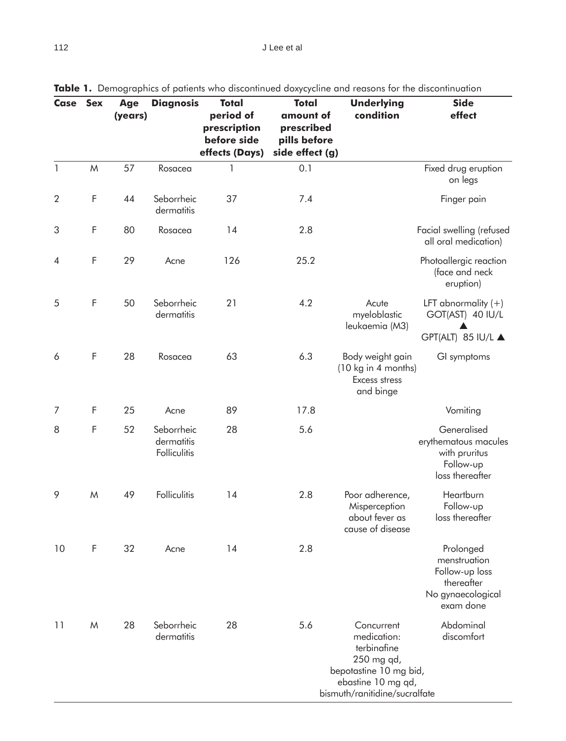| Case           | <b>Sex</b>   | Age<br>(years) | <b>Diagnosis</b>                         | <b>Total</b><br>period of<br>prescription<br>before side<br>effects (Days) | <b>Total</b><br>amount of<br>prescribed<br>pills before<br>side effect (g) | <b>Underlying</b><br>condition                                                                                                          | <b>Side</b><br>effect                                                                       |
|----------------|--------------|----------------|------------------------------------------|----------------------------------------------------------------------------|----------------------------------------------------------------------------|-----------------------------------------------------------------------------------------------------------------------------------------|---------------------------------------------------------------------------------------------|
| $\mathbf{1}$   | M            | 57             | Rosacea                                  | 1                                                                          | 0.1                                                                        |                                                                                                                                         | Fixed drug eruption<br>on legs                                                              |
| $\overline{2}$ | F            | 44             | Seborrheic<br>dermatitis                 | 37                                                                         | 7.4                                                                        |                                                                                                                                         | Finger pain                                                                                 |
| 3              | F            | 80             | Rosacea                                  | 14                                                                         | 2.8                                                                        |                                                                                                                                         | Facial swelling (refused<br>all oral medication)                                            |
| 4              | F            | 29             | Acne                                     | 126                                                                        | 25.2                                                                       |                                                                                                                                         | Photoallergic reaction<br>(face and neck<br>eruption)                                       |
| 5              | $\mathsf{F}$ | 50             | Seborrheic<br>dermatitis                 | 21                                                                         | 4.2                                                                        | Acute<br>myeloblastic<br>leukaemia (M3)                                                                                                 | LFT abnormality $(+)$<br>GOT(AST) 40 IU/L                                                   |
|                |              |                |                                          |                                                                            |                                                                            |                                                                                                                                         | GPT(ALT) 85 IU/L ▲                                                                          |
| 6              | F            | 28             | Rosacea                                  | 63                                                                         | 6.3                                                                        | Body weight gain<br>(10 kg in 4 months)<br>Excess stress<br>and binge                                                                   | GI symptoms                                                                                 |
| 7              | F            | 25             | Acne                                     | 89                                                                         | 17.8                                                                       |                                                                                                                                         | Vomiting                                                                                    |
| 8              | F            | 52             | Seborrheic<br>dermatitis<br>Folliculitis | 28                                                                         | 5.6                                                                        |                                                                                                                                         | Generalised<br>erythematous macules<br>with pruritus<br>Follow-up<br>loss thereafter        |
| 9              | M            | 49             | <b>Folliculitis</b>                      | 14                                                                         | 2.8                                                                        | Poor adherence,<br>Misperception<br>about fever as<br>cause of disease                                                                  | Heartburn<br>Follow-up<br>loss thereafter                                                   |
| 10             | F            | 32             | Acne                                     | 14                                                                         | 2.8                                                                        |                                                                                                                                         | Prolonged<br>menstruation<br>Follow-up loss<br>thereafter<br>No gynaecological<br>exam done |
| 11             | M            | 28             | Seborrheic<br>dermatitis                 | 28                                                                         | 5.6                                                                        | Concurrent<br>medication:<br>terbinafine<br>250 mg qd,<br>bepotastine 10 mg bid,<br>ebastine 10 mg qd,<br>bismuth/ranitidine/sucralfate | Abdominal<br>discomfort                                                                     |

**Table 1.** Demographics of patients who discontinued doxycycline and reasons for the discontinuation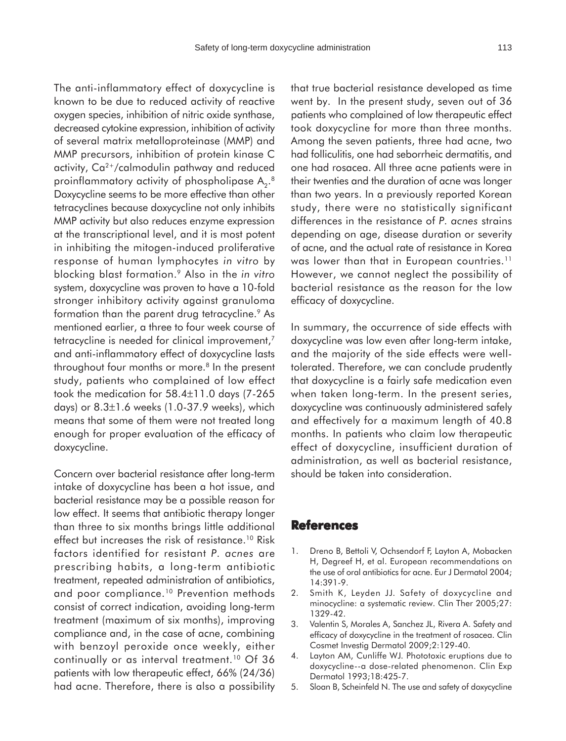The anti-inflammatory effect of doxycycline is known to be due to reduced activity of reactive oxygen species, inhibition of nitric oxide synthase, decreased cytokine expression, inhibition of activity of several matrix metalloproteinase (MMP) and MMP precursors, inhibition of protein kinase C activity, Ca2+/calmodulin pathway and reduced proinflammatory activity of phospholipase  $\mathsf{A}_2^{\vphantom{\dagger}},$   $^8$ Doxycycline seems to be more effective than other tetracyclines because doxycycline not only inhibits MMP activity but also reduces enzyme expression at the transcriptional level, and it is most potent in inhibiting the mitogen-induced proliferative response of human lymphocytes *in vitro* by blocking blast formation.9 Also in the *in vitro* system, doxycycline was proven to have a 10-fold stronger inhibitory activity against granuloma formation than the parent drug tetracycline.<sup>9</sup> As mentioned earlier, a three to four week course of tetracycline is needed for clinical improvement,<sup>7</sup> and anti-inflammatory effect of doxycycline lasts throughout four months or more.<sup>8</sup> In the present study, patients who complained of low effect took the medication for 58.4±11.0 days (7-265 days) or 8.3±1.6 weeks (1.0-37.9 weeks), which means that some of them were not treated long enough for proper evaluation of the efficacy of doxycycline.

Concern over bacterial resistance after long-term intake of doxycycline has been a hot issue, and bacterial resistance may be a possible reason for low effect. It seems that antibiotic therapy longer than three to six months brings little additional effect but increases the risk of resistance.<sup>10</sup> Risk factors identified for resistant *P. acnes* are prescribing habits, a long-term antibiotic treatment, repeated administration of antibiotics, and poor compliance.<sup>10</sup> Prevention methods consist of correct indication, avoiding long-term treatment (maximum of six months), improving compliance and, in the case of acne, combining with benzoyl peroxide once weekly, either continually or as interval treatment.<sup>10</sup> Of 36 patients with low therapeutic effect, 66% (24/36) had acne. Therefore, there is also a possibility

that true bacterial resistance developed as time went by. In the present study, seven out of 36 patients who complained of low therapeutic effect took doxycycline for more than three months. Among the seven patients, three had acne, two had folliculitis, one had seborrheic dermatitis, and one had rosacea. All three acne patients were in their twenties and the duration of acne was longer than two years. In a previously reported Korean study, there were no statistically significant differences in the resistance of *P. acnes* strains depending on age, disease duration or severity of acne, and the actual rate of resistance in Korea was lower than that in European countries.<sup>11</sup> However, we cannot neglect the possibility of bacterial resistance as the reason for the low efficacy of doxycycline.

In summary, the occurrence of side effects with doxycycline was low even after long-term intake, and the majority of the side effects were welltolerated. Therefore, we can conclude prudently that doxycycline is a fairly safe medication even when taken long-term. In the present series, doxycycline was continuously administered safely and effectively for a maximum length of 40.8 months. In patients who claim low therapeutic effect of doxycycline, insufficient duration of administration, as well as bacterial resistance, should be taken into consideration.

#### **References**

- 1. Dreno B, Bettoli V, Ochsendorf F, Layton A, Mobacken H, Degreef H, et al. European recommendations on the use of oral antibiotics for acne. Eur J Dermatol 2004; 14:391-9.
- 2. Smith K, Leyden JJ. Safety of doxycycline and minocycline: a systematic review. Clin Ther 2005;27: 1329-42.
- 3. Valentin S, Morales A, Sanchez JL, Rivera A. Safety and efficacy of doxycycline in the treatment of rosacea. Clin Cosmet Investig Dermatol 2009;2:129-40.
- 4. Layton AM, Cunliffe WJ. Phototoxic eruptions due to doxycycline--a dose-related phenomenon. Clin Exp Dermatol 1993;18:425-7.
- 5. Sloan B, Scheinfeld N. The use and safety of doxycycline